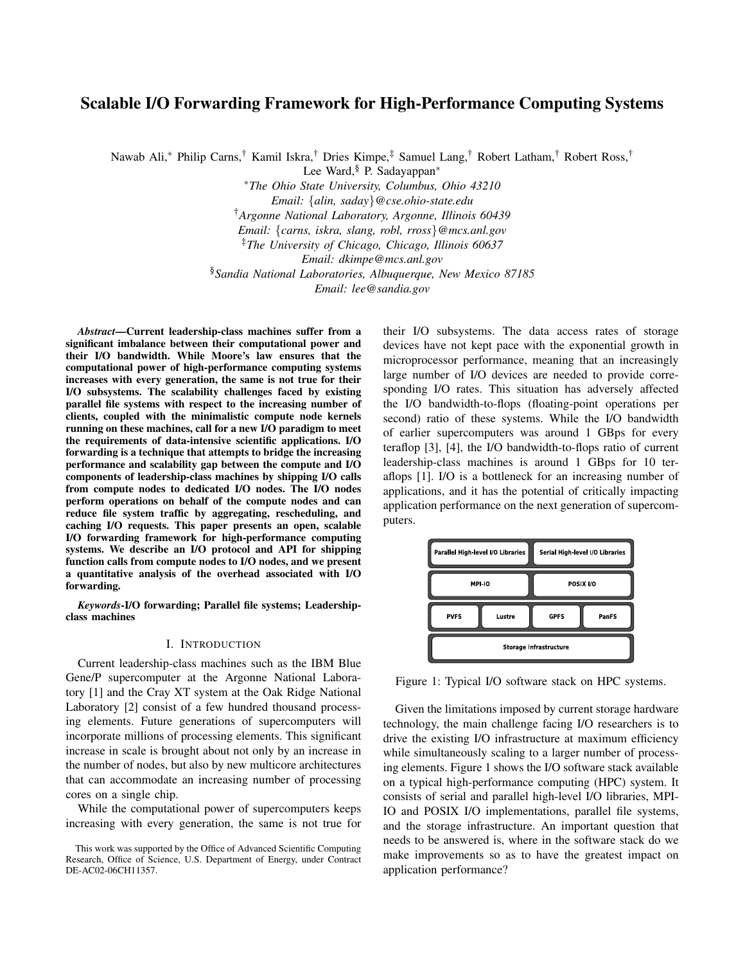# Scalable I/O Forwarding Framework for High-Performance Computing Systems

Nawab Ali,<sup>∗</sup> Philip Carns,† Kamil Iskra,† Dries Kimpe,‡ Samuel Lang,† Robert Latham,† Robert Ross,†

Lee Ward,§ P. Sadayappan<sup>∗</sup>

<sup>∗</sup>*The Ohio State University, Columbus, Ohio 43210*

*Email:* {*alin, saday*}*@cse.ohio-state.edu*

†*Argonne National Laboratory, Argonne, Illinois 60439*

*Email:* {*carns, iskra, slang, robl, rross*}*@mcs.anl.gov*

‡*The University of Chicago, Chicago, Illinois 60637*

*Email: dkimpe@mcs.anl.gov*

§*Sandia National Laboratories, Albuquerque, New Mexico 87185*

*Email: lee@sandia.gov*

*Abstract*—Current leadership-class machines suffer from a significant imbalance between their computational power and their I/O bandwidth. While Moore's law ensures that the computational power of high-performance computing systems increases with every generation, the same is not true for their I/O subsystems. The scalability challenges faced by existing parallel file systems with respect to the increasing number of clients, coupled with the minimalistic compute node kernels running on these machines, call for a new I/O paradigm to meet the requirements of data-intensive scientific applications. I/O forwarding is a technique that attempts to bridge the increasing performance and scalability gap between the compute and I/O components of leadership-class machines by shipping I/O calls from compute nodes to dedicated I/O nodes. The I/O nodes perform operations on behalf of the compute nodes and can reduce file system traffic by aggregating, rescheduling, and caching I/O requests. This paper presents an open, scalable I/O forwarding framework for high-performance computing systems. We describe an I/O protocol and API for shipping function calls from compute nodes to I/O nodes, and we present a quantitative analysis of the overhead associated with I/O forwarding.

*Keywords*-I/O forwarding; Parallel file systems; Leadershipclass machines

### I. INTRODUCTION

Current leadership-class machines such as the IBM Blue Gene/P supercomputer at the Argonne National Laboratory [1] and the Cray XT system at the Oak Ridge National Laboratory [2] consist of a few hundred thousand processing elements. Future generations of supercomputers will incorporate millions of processing elements. This significant increase in scale is brought about not only by an increase in the number of nodes, but also by new multicore architectures that can accommodate an increasing number of processing cores on a single chip.

While the computational power of supercomputers keeps increasing with every generation, the same is not true for their I/O subsystems. The data access rates of storage devices have not kept pace with the exponential growth in microprocessor performance, meaning that an increasingly large number of I/O devices are needed to provide corresponding I/O rates. This situation has adversely affected the I/O bandwidth-to-flops (floating-point operations per second) ratio of these systems. While the I/O bandwidth of earlier supercomputers was around 1 GBps for every teraflop [3], [4], the I/O bandwidth-to-flops ratio of current leadership-class machines is around 1 GBps for 10 teraflops [1]. I/O is a bottleneck for an increasing number of applications, and it has the potential of critically impacting application performance on the next generation of supercomputers.



Figure 1: Typical I/O software stack on HPC systems.

Given the limitations imposed by current storage hardware technology, the main challenge facing I/O researchers is to drive the existing I/O infrastructure at maximum efficiency while simultaneously scaling to a larger number of processing elements. Figure 1 shows the I/O software stack available on a typical high-performance computing (HPC) system. It consists of serial and parallel high-level I/O libraries, MPI-IO and POSIX I/O implementations, parallel file systems, and the storage infrastructure. An important question that needs to be answered is, where in the software stack do we make improvements so as to have the greatest impact on application performance?

This work was supported by the Office of Advanced Scientific Computing Research, Office of Science, U.S. Department of Energy, under Contract DE-AC02-06CH11357.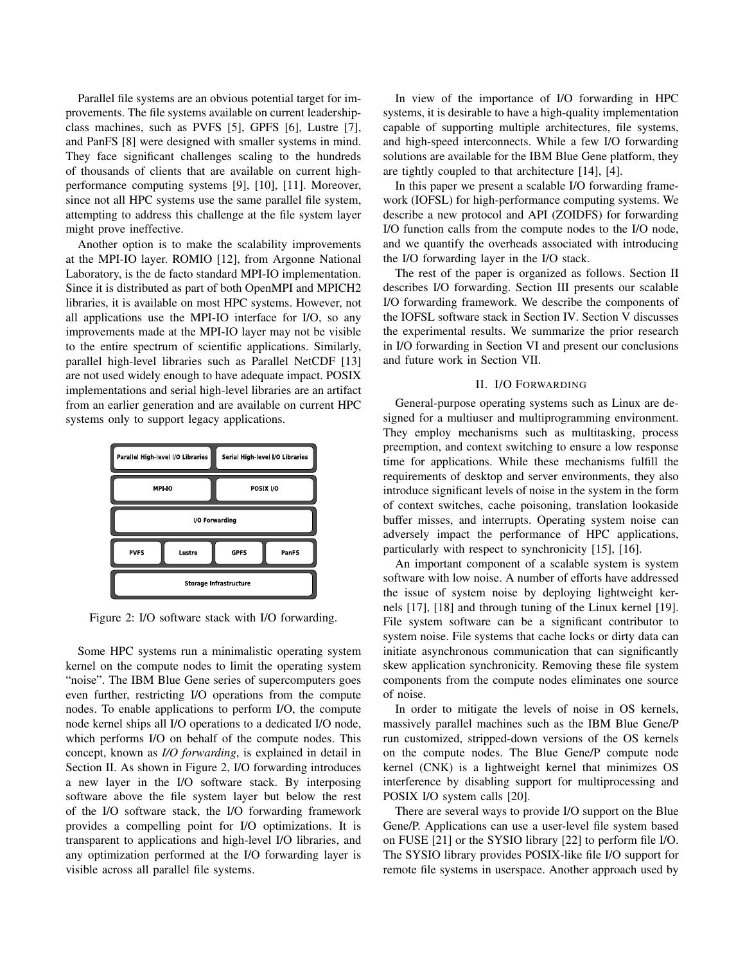Parallel file systems are an obvious potential target for improvements. The file systems available on current leadershipclass machines, such as PVFS [5], GPFS [6], Lustre [7], and PanFS [8] were designed with smaller systems in mind. They face significant challenges scaling to the hundreds of thousands of clients that are available on current highperformance computing systems [9], [10], [11]. Moreover, since not all HPC systems use the same parallel file system, attempting to address this challenge at the file system layer might prove ineffective.

Another option is to make the scalability improvements at the MPI-IO layer. ROMIO [12], from Argonne National Laboratory, is the de facto standard MPI-IO implementation. Since it is distributed as part of both OpenMPI and MPICH2 libraries, it is available on most HPC systems. However, not all applications use the MPI-IO interface for I/O, so any improvements made at the MPI-IO layer may not be visible to the entire spectrum of scientific applications. Similarly, parallel high-level libraries such as Parallel NetCDF [13] are not used widely enough to have adequate impact. POSIX implementations and serial high-level libraries are an artifact from an earlier generation and are available on current HPC systems only to support legacy applications.



Figure 2: I/O software stack with I/O forwarding.

Some HPC systems run a minimalistic operating system kernel on the compute nodes to limit the operating system "noise". The IBM Blue Gene series of supercomputers goes even further, restricting I/O operations from the compute nodes. To enable applications to perform I/O, the compute node kernel ships all I/O operations to a dedicated I/O node, which performs I/O on behalf of the compute nodes. This concept, known as *I/O forwarding*, is explained in detail in Section II. As shown in Figure 2, I/O forwarding introduces a new layer in the I/O software stack. By interposing software above the file system layer but below the rest of the I/O software stack, the I/O forwarding framework provides a compelling point for I/O optimizations. It is transparent to applications and high-level I/O libraries, and any optimization performed at the I/O forwarding layer is visible across all parallel file systems.

In view of the importance of I/O forwarding in HPC systems, it is desirable to have a high-quality implementation capable of supporting multiple architectures, file systems, and high-speed interconnects. While a few I/O forwarding solutions are available for the IBM Blue Gene platform, they are tightly coupled to that architecture [14], [4].

In this paper we present a scalable I/O forwarding framework (IOFSL) for high-performance computing systems. We describe a new protocol and API (ZOIDFS) for forwarding I/O function calls from the compute nodes to the I/O node, and we quantify the overheads associated with introducing the I/O forwarding layer in the I/O stack.

The rest of the paper is organized as follows. Section II describes I/O forwarding. Section III presents our scalable I/O forwarding framework. We describe the components of the IOFSL software stack in Section IV. Section V discusses the experimental results. We summarize the prior research in I/O forwarding in Section VI and present our conclusions and future work in Section VII.

### II. I/O FORWARDING

General-purpose operating systems such as Linux are designed for a multiuser and multiprogramming environment. They employ mechanisms such as multitasking, process preemption, and context switching to ensure a low response time for applications. While these mechanisms fulfill the requirements of desktop and server environments, they also introduce significant levels of noise in the system in the form of context switches, cache poisoning, translation lookaside buffer misses, and interrupts. Operating system noise can adversely impact the performance of HPC applications, particularly with respect to synchronicity [15], [16].

An important component of a scalable system is system software with low noise. A number of efforts have addressed the issue of system noise by deploying lightweight kernels [17], [18] and through tuning of the Linux kernel [19]. File system software can be a significant contributor to system noise. File systems that cache locks or dirty data can initiate asynchronous communication that can significantly skew application synchronicity. Removing these file system components from the compute nodes eliminates one source of noise.

In order to mitigate the levels of noise in OS kernels, massively parallel machines such as the IBM Blue Gene/P run customized, stripped-down versions of the OS kernels on the compute nodes. The Blue Gene/P compute node kernel (CNK) is a lightweight kernel that minimizes OS interference by disabling support for multiprocessing and POSIX I/O system calls [20].

There are several ways to provide I/O support on the Blue Gene/P. Applications can use a user-level file system based on FUSE [21] or the SYSIO library [22] to perform file I/O. The SYSIO library provides POSIX-like file I/O support for remote file systems in userspace. Another approach used by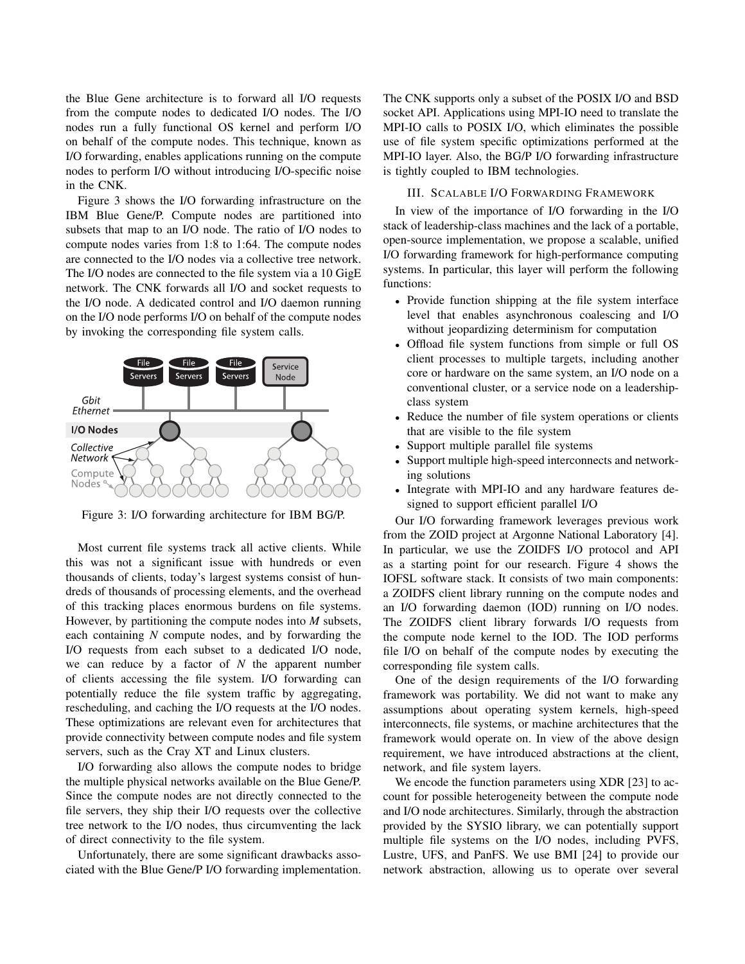the Blue Gene architecture is to forward all I/O requests from the compute nodes to dedicated I/O nodes. The I/O nodes run a fully functional OS kernel and perform I/O on behalf of the compute nodes. This technique, known as I/O forwarding, enables applications running on the compute nodes to perform I/O without introducing I/O-specific noise in the CNK.

Figure 3 shows the I/O forwarding infrastructure on the IBM Blue Gene/P. Compute nodes are partitioned into subsets that map to an I/O node. The ratio of I/O nodes to compute nodes varies from 1:8 to 1:64. The compute nodes are connected to the I/O nodes via a collective tree network. The I/O nodes are connected to the file system via a 10 GigE network. The CNK forwards all I/O and socket requests to the I/O node. A dedicated control and I/O daemon running on the I/O node performs I/O on behalf of the compute nodes by invoking the corresponding file system calls.



Figure 3: I/O forwarding architecture for IBM BG/P.

Most current file systems track all active clients. While this was not a significant issue with hundreds or even thousands of clients, today's largest systems consist of hundreds of thousands of processing elements, and the overhead of this tracking places enormous burdens on file systems. However, by partitioning the compute nodes into *M* subsets, each containing *N* compute nodes, and by forwarding the I/O requests from each subset to a dedicated I/O node, we can reduce by a factor of *N* the apparent number of clients accessing the file system. I/O forwarding can potentially reduce the file system traffic by aggregating, rescheduling, and caching the I/O requests at the I/O nodes. These optimizations are relevant even for architectures that provide connectivity between compute nodes and file system servers, such as the Cray XT and Linux clusters.

I/O forwarding also allows the compute nodes to bridge the multiple physical networks available on the Blue Gene/P. Since the compute nodes are not directly connected to the file servers, they ship their I/O requests over the collective tree network to the I/O nodes, thus circumventing the lack of direct connectivity to the file system.

Unfortunately, there are some significant drawbacks associated with the Blue Gene/P I/O forwarding implementation. The CNK supports only a subset of the POSIX I/O and BSD socket API. Applications using MPI-IO need to translate the MPI-IO calls to POSIX I/O, which eliminates the possible use of file system specific optimizations performed at the MPI-IO layer. Also, the BG/P I/O forwarding infrastructure is tightly coupled to IBM technologies.

#### III. SCALABLE I/O FORWARDING FRAMEWORK

In view of the importance of I/O forwarding in the I/O stack of leadership-class machines and the lack of a portable, open-source implementation, we propose a scalable, unified I/O forwarding framework for high-performance computing systems. In particular, this layer will perform the following functions:

- Provide function shipping at the file system interface level that enables asynchronous coalescing and I/O without jeopardizing determinism for computation
- Offload file system functions from simple or full OS client processes to multiple targets, including another core or hardware on the same system, an I/O node on a conventional cluster, or a service node on a leadershipclass system
- Reduce the number of file system operations or clients that are visible to the file system
- Support multiple parallel file systems
- Support multiple high-speed interconnects and networking solutions
- Integrate with MPI-IO and any hardware features designed to support efficient parallel I/O

Our I/O forwarding framework leverages previous work from the ZOID project at Argonne National Laboratory [4]. In particular, we use the ZOIDFS I/O protocol and API as a starting point for our research. Figure 4 shows the IOFSL software stack. It consists of two main components: a ZOIDFS client library running on the compute nodes and an I/O forwarding daemon (IOD) running on I/O nodes. The ZOIDFS client library forwards I/O requests from the compute node kernel to the IOD. The IOD performs file I/O on behalf of the compute nodes by executing the corresponding file system calls.

One of the design requirements of the I/O forwarding framework was portability. We did not want to make any assumptions about operating system kernels, high-speed interconnects, file systems, or machine architectures that the framework would operate on. In view of the above design requirement, we have introduced abstractions at the client, network, and file system layers.

We encode the function parameters using XDR [23] to account for possible heterogeneity between the compute node and I/O node architectures. Similarly, through the abstraction provided by the SYSIO library, we can potentially support multiple file systems on the I/O nodes, including PVFS, Lustre, UFS, and PanFS. We use BMI [24] to provide our network abstraction, allowing us to operate over several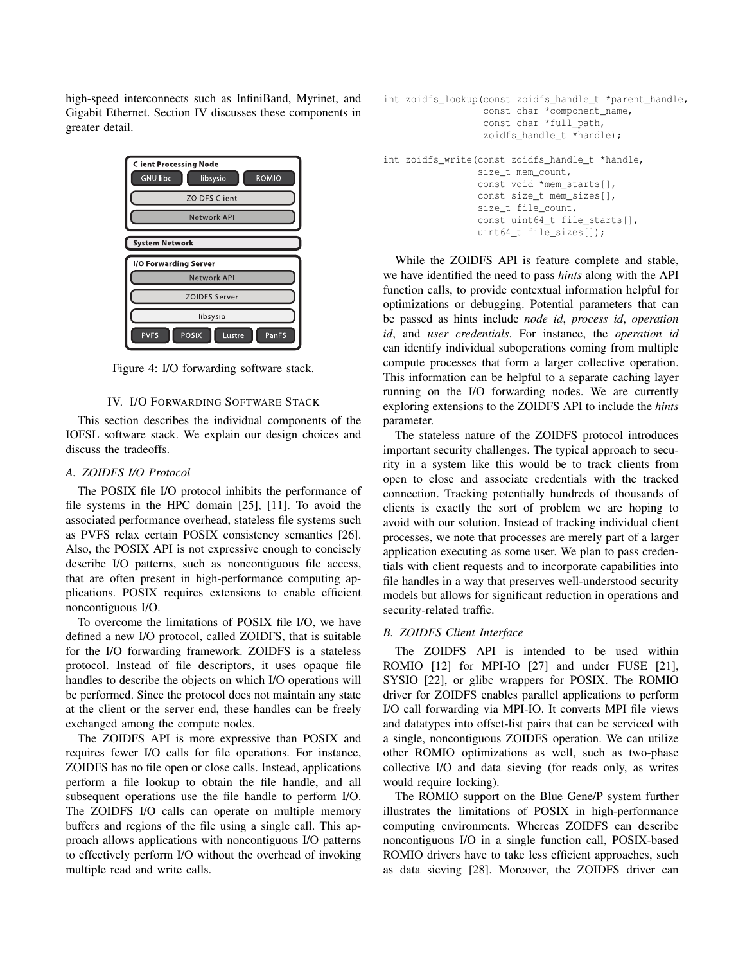high-speed interconnects such as InfiniBand, Myrinet, and Gigabit Ethernet. Section IV discusses these components in greater detail.



Figure 4: I/O forwarding software stack.

#### IV. I/O FORWARDING SOFTWARE STACK

This section describes the individual components of the IOFSL software stack. We explain our design choices and discuss the tradeoffs.

#### *A. ZOIDFS I/O Protocol*

The POSIX file I/O protocol inhibits the performance of file systems in the HPC domain [25], [11]. To avoid the associated performance overhead, stateless file systems such as PVFS relax certain POSIX consistency semantics [26]. Also, the POSIX API is not expressive enough to concisely describe I/O patterns, such as noncontiguous file access, that are often present in high-performance computing applications. POSIX requires extensions to enable efficient noncontiguous I/O.

To overcome the limitations of POSIX file I/O, we have defined a new I/O protocol, called ZOIDFS, that is suitable for the I/O forwarding framework. ZOIDFS is a stateless protocol. Instead of file descriptors, it uses opaque file handles to describe the objects on which I/O operations will be performed. Since the protocol does not maintain any state at the client or the server end, these handles can be freely exchanged among the compute nodes.

The ZOIDFS API is more expressive than POSIX and requires fewer I/O calls for file operations. For instance, ZOIDFS has no file open or close calls. Instead, applications perform a file lookup to obtain the file handle, and all subsequent operations use the file handle to perform I/O. The ZOIDFS I/O calls can operate on multiple memory buffers and regions of the file using a single call. This approach allows applications with noncontiguous I/O patterns to effectively perform I/O without the overhead of invoking multiple read and write calls.

```
int zoidfs_lookup(const zoidfs_handle_t *parent_handle,
                  const char *component_name,
                  const char *full_path,
                  zoidfs_handle_t *handle);
int zoidfs_write(const zoidfs_handle_t *handle,
                 size_t mem_count,
                 const void *mem_starts[],
                 const size_t mem_sizes[],
                 size_t file_count,
                 const uint64_t file_starts[],
                 uint64_t file_sizes[]);
```
While the ZOIDFS API is feature complete and stable, we have identified the need to pass *hints* along with the API function calls, to provide contextual information helpful for optimizations or debugging. Potential parameters that can be passed as hints include *node id*, *process id*, *operation id*, and *user credentials*. For instance, the *operation id* can identify individual suboperations coming from multiple compute processes that form a larger collective operation. This information can be helpful to a separate caching layer running on the I/O forwarding nodes. We are currently exploring extensions to the ZOIDFS API to include the *hints* parameter.

The stateless nature of the ZOIDFS protocol introduces important security challenges. The typical approach to security in a system like this would be to track clients from open to close and associate credentials with the tracked connection. Tracking potentially hundreds of thousands of clients is exactly the sort of problem we are hoping to avoid with our solution. Instead of tracking individual client processes, we note that processes are merely part of a larger application executing as some user. We plan to pass credentials with client requests and to incorporate capabilities into file handles in a way that preserves well-understood security models but allows for significant reduction in operations and security-related traffic.

# *B. ZOIDFS Client Interface*

The ZOIDFS API is intended to be used within ROMIO [12] for MPI-IO [27] and under FUSE [21], SYSIO [22], or glibc wrappers for POSIX. The ROMIO driver for ZOIDFS enables parallel applications to perform I/O call forwarding via MPI-IO. It converts MPI file views and datatypes into offset-list pairs that can be serviced with a single, noncontiguous ZOIDFS operation. We can utilize other ROMIO optimizations as well, such as two-phase collective I/O and data sieving (for reads only, as writes would require locking).

The ROMIO support on the Blue Gene/P system further illustrates the limitations of POSIX in high-performance computing environments. Whereas ZOIDFS can describe noncontiguous I/O in a single function call, POSIX-based ROMIO drivers have to take less efficient approaches, such as data sieving [28]. Moreover, the ZOIDFS driver can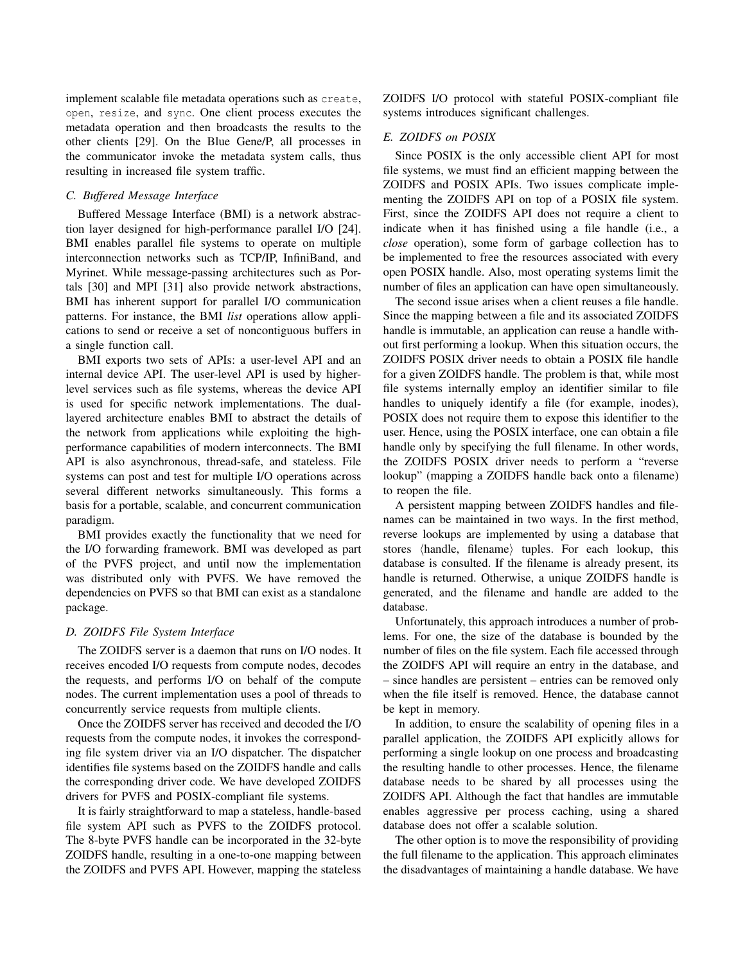implement scalable file metadata operations such as create, open, resize, and sync. One client process executes the metadata operation and then broadcasts the results to the other clients [29]. On the Blue Gene/P, all processes in the communicator invoke the metadata system calls, thus resulting in increased file system traffic.

# *C. Buffered Message Interface*

Buffered Message Interface (BMI) is a network abstraction layer designed for high-performance parallel I/O [24]. BMI enables parallel file systems to operate on multiple interconnection networks such as TCP/IP, InfiniBand, and Myrinet. While message-passing architectures such as Portals [30] and MPI [31] also provide network abstractions, BMI has inherent support for parallel I/O communication patterns. For instance, the BMI *list* operations allow applications to send or receive a set of noncontiguous buffers in a single function call.

BMI exports two sets of APIs: a user-level API and an internal device API. The user-level API is used by higherlevel services such as file systems, whereas the device API is used for specific network implementations. The duallayered architecture enables BMI to abstract the details of the network from applications while exploiting the highperformance capabilities of modern interconnects. The BMI API is also asynchronous, thread-safe, and stateless. File systems can post and test for multiple I/O operations across several different networks simultaneously. This forms a basis for a portable, scalable, and concurrent communication paradigm.

BMI provides exactly the functionality that we need for the I/O forwarding framework. BMI was developed as part of the PVFS project, and until now the implementation was distributed only with PVFS. We have removed the dependencies on PVFS so that BMI can exist as a standalone package.

#### *D. ZOIDFS File System Interface*

The ZOIDFS server is a daemon that runs on I/O nodes. It receives encoded I/O requests from compute nodes, decodes the requests, and performs I/O on behalf of the compute nodes. The current implementation uses a pool of threads to concurrently service requests from multiple clients.

Once the ZOIDFS server has received and decoded the I/O requests from the compute nodes, it invokes the corresponding file system driver via an I/O dispatcher. The dispatcher identifies file systems based on the ZOIDFS handle and calls the corresponding driver code. We have developed ZOIDFS drivers for PVFS and POSIX-compliant file systems.

It is fairly straightforward to map a stateless, handle-based file system API such as PVFS to the ZOIDFS protocol. The 8-byte PVFS handle can be incorporated in the 32-byte ZOIDFS handle, resulting in a one-to-one mapping between the ZOIDFS and PVFS API. However, mapping the stateless ZOIDFS I/O protocol with stateful POSIX-compliant file systems introduces significant challenges.

#### *E. ZOIDFS on POSIX*

Since POSIX is the only accessible client API for most file systems, we must find an efficient mapping between the ZOIDFS and POSIX APIs. Two issues complicate implementing the ZOIDFS API on top of a POSIX file system. First, since the ZOIDFS API does not require a client to indicate when it has finished using a file handle (i.e., a *close* operation), some form of garbage collection has to be implemented to free the resources associated with every open POSIX handle. Also, most operating systems limit the number of files an application can have open simultaneously.

The second issue arises when a client reuses a file handle. Since the mapping between a file and its associated ZOIDFS handle is immutable, an application can reuse a handle without first performing a lookup. When this situation occurs, the ZOIDFS POSIX driver needs to obtain a POSIX file handle for a given ZOIDFS handle. The problem is that, while most file systems internally employ an identifier similar to file handles to uniquely identify a file (for example, inodes), POSIX does not require them to expose this identifier to the user. Hence, using the POSIX interface, one can obtain a file handle only by specifying the full filename. In other words, the ZOIDFS POSIX driver needs to perform a "reverse lookup" (mapping a ZOIDFS handle back onto a filename) to reopen the file.

A persistent mapping between ZOIDFS handles and filenames can be maintained in two ways. In the first method, reverse lookups are implemented by using a database that stores  $\langle$  handle, filename $\rangle$  tuples. For each lookup, this database is consulted. If the filename is already present, its handle is returned. Otherwise, a unique ZOIDFS handle is generated, and the filename and handle are added to the database.

Unfortunately, this approach introduces a number of problems. For one, the size of the database is bounded by the number of files on the file system. Each file accessed through the ZOIDFS API will require an entry in the database, and – since handles are persistent – entries can be removed only when the file itself is removed. Hence, the database cannot be kept in memory.

In addition, to ensure the scalability of opening files in a parallel application, the ZOIDFS API explicitly allows for performing a single lookup on one process and broadcasting the resulting handle to other processes. Hence, the filename database needs to be shared by all processes using the ZOIDFS API. Although the fact that handles are immutable enables aggressive per process caching, using a shared database does not offer a scalable solution.

The other option is to move the responsibility of providing the full filename to the application. This approach eliminates the disadvantages of maintaining a handle database. We have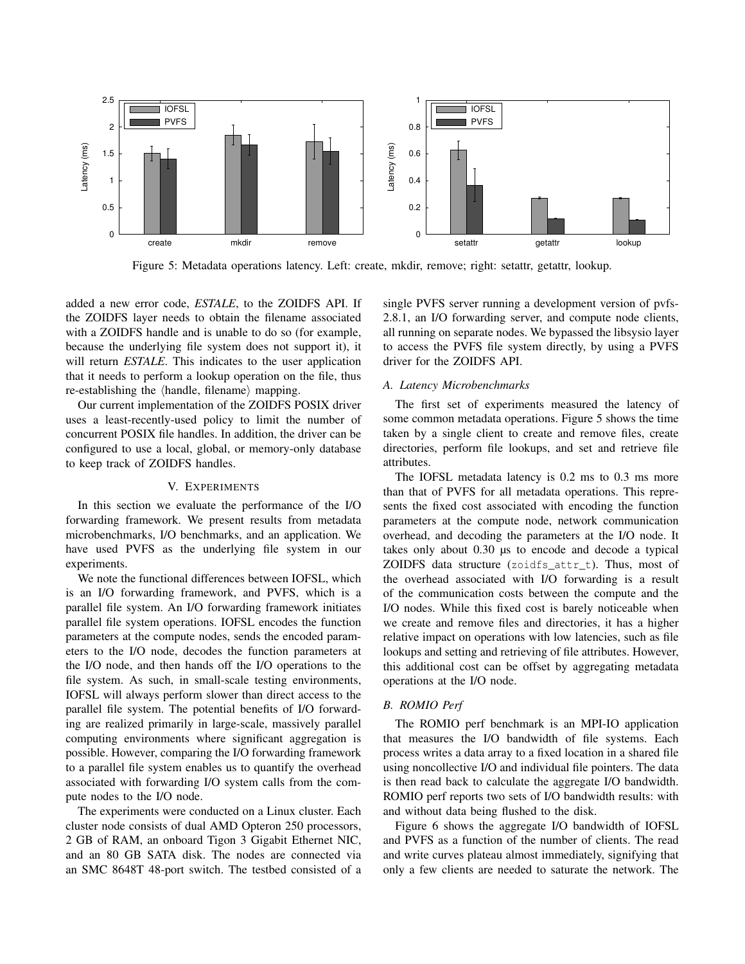

Figure 5: Metadata operations latency. Left: create, mkdir, remove; right: setattr, getattr, lookup.

added a new error code, *ESTALE*, to the ZOIDFS API. If the ZOIDFS layer needs to obtain the filename associated with a ZOIDFS handle and is unable to do so (for example, because the underlying file system does not support it), it will return *ESTALE*. This indicates to the user application that it needs to perform a lookup operation on the file, thus re-establishing the  $\langle$ handle, filename $\rangle$  mapping.

Our current implementation of the ZOIDFS POSIX driver uses a least-recently-used policy to limit the number of concurrent POSIX file handles. In addition, the driver can be configured to use a local, global, or memory-only database to keep track of ZOIDFS handles.

#### V. EXPERIMENTS

In this section we evaluate the performance of the I/O forwarding framework. We present results from metadata microbenchmarks, I/O benchmarks, and an application. We have used PVFS as the underlying file system in our experiments.

We note the functional differences between IOFSL, which is an I/O forwarding framework, and PVFS, which is a parallel file system. An I/O forwarding framework initiates parallel file system operations. IOFSL encodes the function parameters at the compute nodes, sends the encoded parameters to the I/O node, decodes the function parameters at the I/O node, and then hands off the I/O operations to the file system. As such, in small-scale testing environments, IOFSL will always perform slower than direct access to the parallel file system. The potential benefits of I/O forwarding are realized primarily in large-scale, massively parallel computing environments where significant aggregation is possible. However, comparing the I/O forwarding framework to a parallel file system enables us to quantify the overhead associated with forwarding I/O system calls from the compute nodes to the I/O node.

The experiments were conducted on a Linux cluster. Each cluster node consists of dual AMD Opteron 250 processors, 2 GB of RAM, an onboard Tigon 3 Gigabit Ethernet NIC, and an 80 GB SATA disk. The nodes are connected via an SMC 8648T 48-port switch. The testbed consisted of a single PVFS server running a development version of pvfs-2.8.1, an I/O forwarding server, and compute node clients, all running on separate nodes. We bypassed the libsysio layer to access the PVFS file system directly, by using a PVFS driver for the ZOIDFS API.

#### *A. Latency Microbenchmarks*

The first set of experiments measured the latency of some common metadata operations. Figure 5 shows the time taken by a single client to create and remove files, create directories, perform file lookups, and set and retrieve file attributes.

The IOFSL metadata latency is 0.2 ms to 0.3 ms more than that of PVFS for all metadata operations. This represents the fixed cost associated with encoding the function parameters at the compute node, network communication overhead, and decoding the parameters at the I/O node. It takes only about 0.30 µs to encode and decode a typical ZOIDFS data structure (zoidfs\_attr\_t). Thus, most of the overhead associated with I/O forwarding is a result of the communication costs between the compute and the I/O nodes. While this fixed cost is barely noticeable when we create and remove files and directories, it has a higher relative impact on operations with low latencies, such as file lookups and setting and retrieving of file attributes. However, this additional cost can be offset by aggregating metadata operations at the I/O node.

#### *B. ROMIO Perf*

The ROMIO perf benchmark is an MPI-IO application that measures the I/O bandwidth of file systems. Each process writes a data array to a fixed location in a shared file using noncollective I/O and individual file pointers. The data is then read back to calculate the aggregate I/O bandwidth. ROMIO perf reports two sets of I/O bandwidth results: with and without data being flushed to the disk.

Figure 6 shows the aggregate I/O bandwidth of IOFSL and PVFS as a function of the number of clients. The read and write curves plateau almost immediately, signifying that only a few clients are needed to saturate the network. The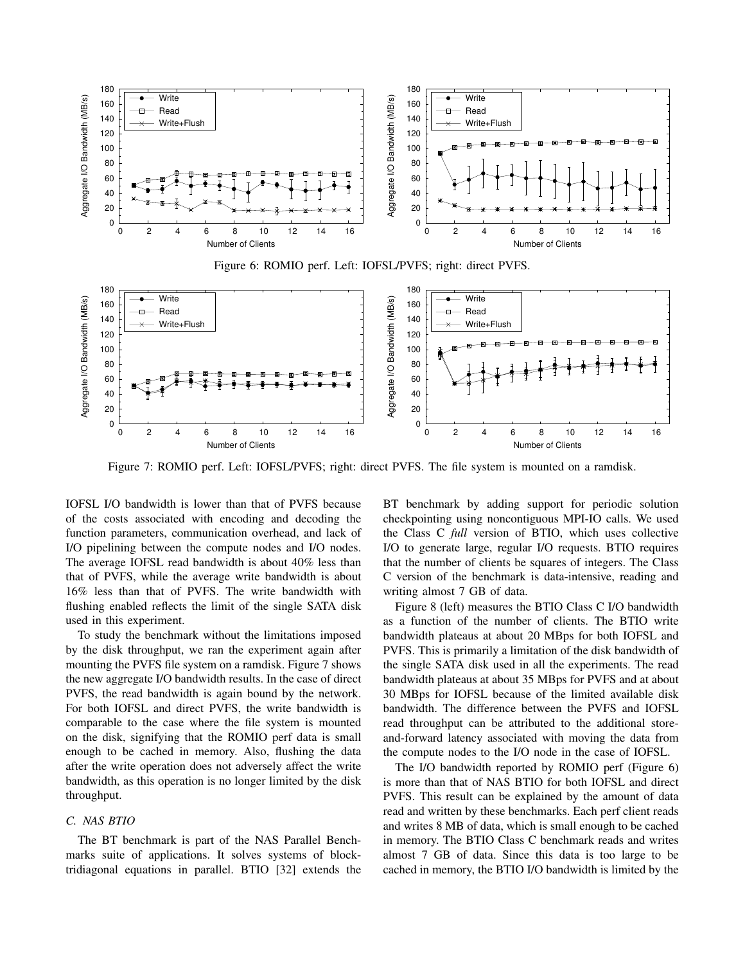

Figure 6: ROMIO perf. Left: IOFSL/PVFS; right: direct PVFS.



Figure 7: ROMIO perf. Left: IOFSL/PVFS; right: direct PVFS. The file system is mounted on a ramdisk.

IOFSL I/O bandwidth is lower than that of PVFS because of the costs associated with encoding and decoding the function parameters, communication overhead, and lack of I/O pipelining between the compute nodes and I/O nodes. The average IOFSL read bandwidth is about 40% less than that of PVFS, while the average write bandwidth is about 16% less than that of PVFS. The write bandwidth with flushing enabled reflects the limit of the single SATA disk used in this experiment.

To study the benchmark without the limitations imposed by the disk throughput, we ran the experiment again after mounting the PVFS file system on a ramdisk. Figure 7 shows the new aggregate I/O bandwidth results. In the case of direct PVFS, the read bandwidth is again bound by the network. For both IOFSL and direct PVFS, the write bandwidth is comparable to the case where the file system is mounted on the disk, signifying that the ROMIO perf data is small enough to be cached in memory. Also, flushing the data after the write operation does not adversely affect the write bandwidth, as this operation is no longer limited by the disk throughput.

## *C. NAS BTIO*

The BT benchmark is part of the NAS Parallel Benchmarks suite of applications. It solves systems of blocktridiagonal equations in parallel. BTIO [32] extends the BT benchmark by adding support for periodic solution checkpointing using noncontiguous MPI-IO calls. We used the Class C *full* version of BTIO, which uses collective I/O to generate large, regular I/O requests. BTIO requires that the number of clients be squares of integers. The Class C version of the benchmark is data-intensive, reading and writing almost 7 GB of data.

Figure 8 (left) measures the BTIO Class C I/O bandwidth as a function of the number of clients. The BTIO write bandwidth plateaus at about 20 MBps for both IOFSL and PVFS. This is primarily a limitation of the disk bandwidth of the single SATA disk used in all the experiments. The read bandwidth plateaus at about 35 MBps for PVFS and at about 30 MBps for IOFSL because of the limited available disk bandwidth. The difference between the PVFS and IOFSL read throughput can be attributed to the additional storeand-forward latency associated with moving the data from the compute nodes to the I/O node in the case of IOFSL.

The I/O bandwidth reported by ROMIO perf (Figure 6) is more than that of NAS BTIO for both IOFSL and direct PVFS. This result can be explained by the amount of data read and written by these benchmarks. Each perf client reads and writes 8 MB of data, which is small enough to be cached in memory. The BTIO Class C benchmark reads and writes almost 7 GB of data. Since this data is too large to be cached in memory, the BTIO I/O bandwidth is limited by the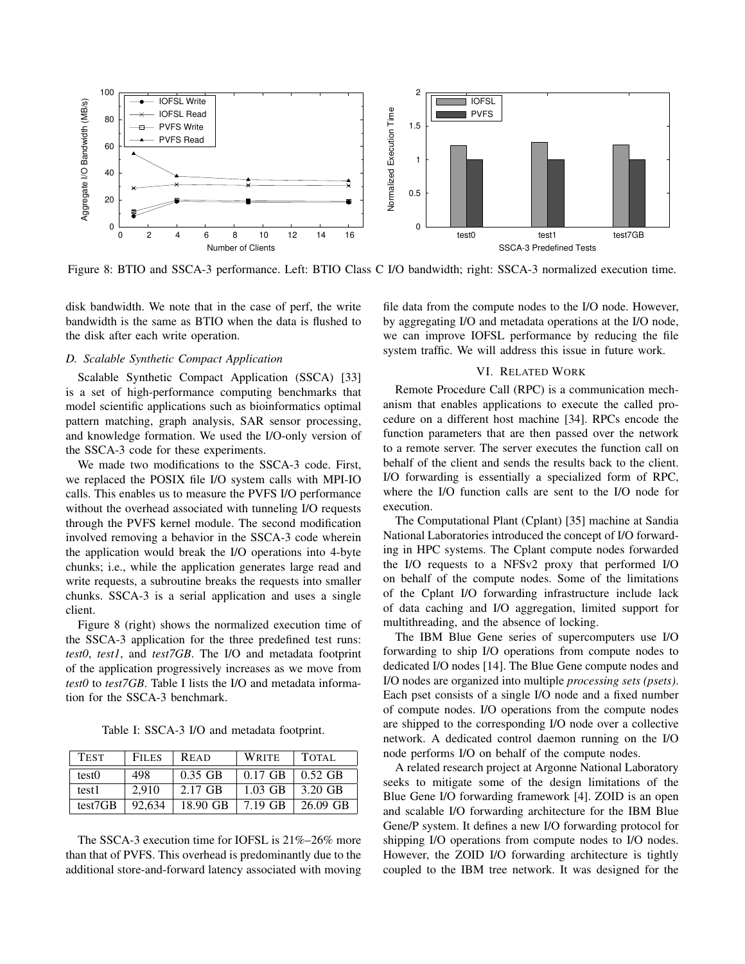

Figure 8: BTIO and SSCA-3 performance. Left: BTIO Class C I/O bandwidth; right: SSCA-3 normalized execution time.

disk bandwidth. We note that in the case of perf, the write bandwidth is the same as BTIO when the data is flushed to the disk after each write operation.

## *D. Scalable Synthetic Compact Application*

Scalable Synthetic Compact Application (SSCA) [33] is a set of high-performance computing benchmarks that model scientific applications such as bioinformatics optimal pattern matching, graph analysis, SAR sensor processing, and knowledge formation. We used the I/O-only version of the SSCA-3 code for these experiments.

We made two modifications to the SSCA-3 code. First, we replaced the POSIX file I/O system calls with MPI-IO calls. This enables us to measure the PVFS I/O performance without the overhead associated with tunneling I/O requests through the PVFS kernel module. The second modification involved removing a behavior in the SSCA-3 code wherein the application would break the I/O operations into 4-byte chunks; i.e., while the application generates large read and write requests, a subroutine breaks the requests into smaller chunks. SSCA-3 is a serial application and uses a single client.

Figure 8 (right) shows the normalized execution time of the SSCA-3 application for the three predefined test runs: *test0*, *test1*, and *test7GB*. The I/O and metadata footprint of the application progressively increases as we move from *test0* to *test7GB*. Table I lists the I/O and metadata information for the SSCA-3 benchmark.

Table I: SSCA-3 I/O and metadata footprint.

| <b>TEST</b> | <b>FILES</b> | <b>READ</b> | <b>WRITE</b> | TOTAL     |
|-------------|--------------|-------------|--------------|-----------|
| test0       | 498          | $0.35$ GB   | $0.17$ GB    | $0.52$ GB |
| test1       | 2.910        | 2.17 GB     | $1.03$ GB    | 3.20 GB   |
| test7GB     | 92.634       | 18.90 GB    | 7.19 GB      | 26.09 GB  |

The SSCA-3 execution time for IOFSL is 21%–26% more than that of PVFS. This overhead is predominantly due to the additional store-and-forward latency associated with moving file data from the compute nodes to the I/O node. However, by aggregating I/O and metadata operations at the I/O node, we can improve IOFSL performance by reducing the file system traffic. We will address this issue in future work.

#### VI. RELATED WORK

Remote Procedure Call (RPC) is a communication mechanism that enables applications to execute the called procedure on a different host machine [34]. RPCs encode the function parameters that are then passed over the network to a remote server. The server executes the function call on behalf of the client and sends the results back to the client. I/O forwarding is essentially a specialized form of RPC, where the I/O function calls are sent to the I/O node for execution.

The Computational Plant (Cplant) [35] machine at Sandia National Laboratories introduced the concept of I/O forwarding in HPC systems. The Cplant compute nodes forwarded the I/O requests to a NFSv2 proxy that performed I/O on behalf of the compute nodes. Some of the limitations of the Cplant I/O forwarding infrastructure include lack of data caching and I/O aggregation, limited support for multithreading, and the absence of locking.

The IBM Blue Gene series of supercomputers use I/O forwarding to ship I/O operations from compute nodes to dedicated I/O nodes [14]. The Blue Gene compute nodes and I/O nodes are organized into multiple *processing sets (psets)*. Each pset consists of a single I/O node and a fixed number of compute nodes. I/O operations from the compute nodes are shipped to the corresponding I/O node over a collective network. A dedicated control daemon running on the I/O node performs I/O on behalf of the compute nodes.

A related research project at Argonne National Laboratory seeks to mitigate some of the design limitations of the Blue Gene I/O forwarding framework [4]. ZOID is an open and scalable I/O forwarding architecture for the IBM Blue Gene/P system. It defines a new I/O forwarding protocol for shipping I/O operations from compute nodes to I/O nodes. However, the ZOID I/O forwarding architecture is tightly coupled to the IBM tree network. It was designed for the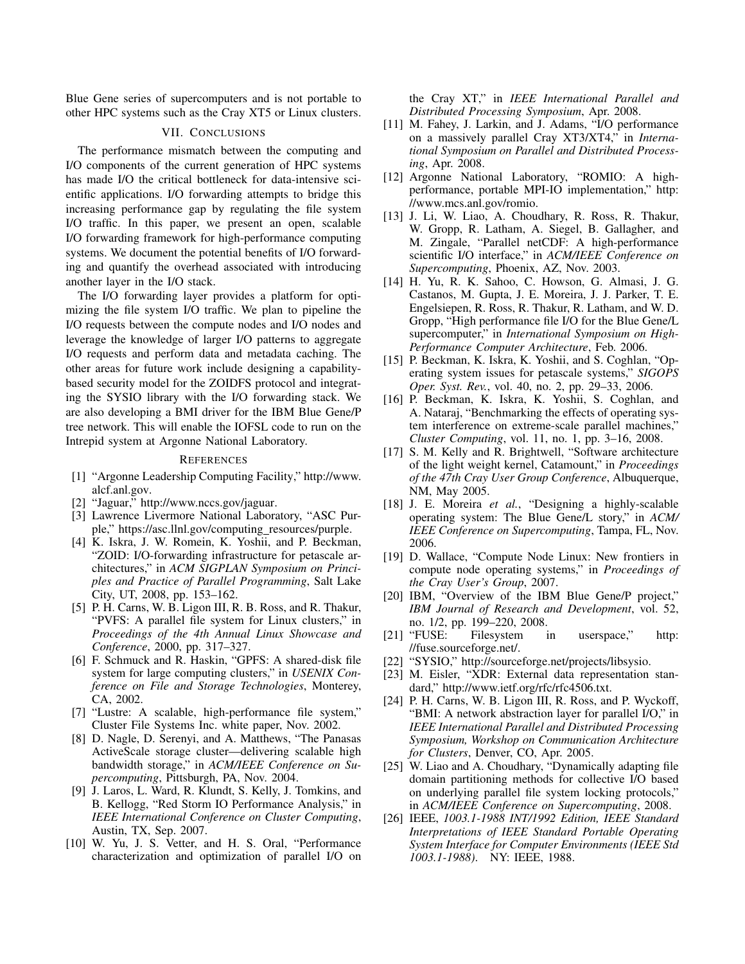Blue Gene series of supercomputers and is not portable to other HPC systems such as the Cray XT5 or Linux clusters.

### VII. CONCLUSIONS

The performance mismatch between the computing and I/O components of the current generation of HPC systems has made I/O the critical bottleneck for data-intensive scientific applications. I/O forwarding attempts to bridge this increasing performance gap by regulating the file system I/O traffic. In this paper, we present an open, scalable I/O forwarding framework for high-performance computing systems. We document the potential benefits of I/O forwarding and quantify the overhead associated with introducing another layer in the I/O stack.

The I/O forwarding layer provides a platform for optimizing the file system I/O traffic. We plan to pipeline the I/O requests between the compute nodes and I/O nodes and leverage the knowledge of larger I/O patterns to aggregate I/O requests and perform data and metadata caching. The other areas for future work include designing a capabilitybased security model for the ZOIDFS protocol and integrating the SYSIO library with the I/O forwarding stack. We are also developing a BMI driver for the IBM Blue Gene/P tree network. This will enable the IOFSL code to run on the Intrepid system at Argonne National Laboratory.

#### **REFERENCES**

- [1] "Argonne Leadership Computing Facility," http://www. alcf.anl.gov.
- [2] "Jaguar," http://www.nccs.gov/jaguar.
- [3] Lawrence Livermore National Laboratory, "ASC Purple," https://asc.llnl.gov/computing\_resources/purple.
- [4] K. Iskra, J. W. Romein, K. Yoshii, and P. Beckman, "ZOID: I/O-forwarding infrastructure for petascale architectures," in *ACM SIGPLAN Symposium on Principles and Practice of Parallel Programming*, Salt Lake City, UT, 2008, pp. 153–162.
- [5] P. H. Carns, W. B. Ligon III, R. B. Ross, and R. Thakur, "PVFS: A parallel file system for Linux clusters," in *Proceedings of the 4th Annual Linux Showcase and Conference*, 2000, pp. 317–327.
- [6] F. Schmuck and R. Haskin, "GPFS: A shared-disk file system for large computing clusters," in *USENIX Conference on File and Storage Technologies*, Monterey, CA, 2002.
- [7] "Lustre: A scalable, high-performance file system," Cluster File Systems Inc. white paper, Nov. 2002.
- [8] D. Nagle, D. Serenyi, and A. Matthews, "The Panasas ActiveScale storage cluster—delivering scalable high bandwidth storage," in *ACM/IEEE Conference on Supercomputing*, Pittsburgh, PA, Nov. 2004.
- [9] J. Laros, L. Ward, R. Klundt, S. Kelly, J. Tomkins, and B. Kellogg, "Red Storm IO Performance Analysis," in *IEEE International Conference on Cluster Computing*, Austin, TX, Sep. 2007.
- [10] W. Yu, J. S. Vetter, and H. S. Oral, "Performance characterization and optimization of parallel I/O on

the Cray XT," in *IEEE International Parallel and Distributed Processing Symposium*, Apr. 2008.

- [11] M. Fahey, J. Larkin, and J. Adams, "I/O performance on a massively parallel Cray XT3/XT4," in *International Symposium on Parallel and Distributed Processing*, Apr. 2008.
- [12] Argonne National Laboratory, "ROMIO: A highperformance, portable MPI-IO implementation," http: //www.mcs.anl.gov/romio.
- [13] J. Li, W. Liao, A. Choudhary, R. Ross, R. Thakur, W. Gropp, R. Latham, A. Siegel, B. Gallagher, and M. Zingale, "Parallel netCDF: A high-performance scientific I/O interface," in *ACM/IEEE Conference on Supercomputing*, Phoenix, AZ, Nov. 2003.
- [14] H. Yu, R. K. Sahoo, C. Howson, G. Almasi, J. G. Castanos, M. Gupta, J. E. Moreira, J. J. Parker, T. E. Engelsiepen, R. Ross, R. Thakur, R. Latham, and W. D. Gropp, "High performance file I/O for the Blue Gene/L supercomputer," in *International Symposium on High-Performance Computer Architecture*, Feb. 2006.
- [15] P. Beckman, K. Iskra, K. Yoshii, and S. Coghlan, "Operating system issues for petascale systems," *SIGOPS Oper. Syst. Rev.*, vol. 40, no. 2, pp. 29–33, 2006.
- [16] P. Beckman, K. Iskra, K. Yoshii, S. Coghlan, and A. Nataraj, "Benchmarking the effects of operating system interference on extreme-scale parallel machines," *Cluster Computing*, vol. 11, no. 1, pp. 3–16, 2008.
- [17] S. M. Kelly and R. Brightwell, "Software architecture of the light weight kernel, Catamount," in *Proceedings of the 47th Cray User Group Conference*, Albuquerque, NM, May 2005.
- [18] J. E. Moreira *et al.*, "Designing a highly-scalable operating system: The Blue Gene/L story," in *ACM/ IEEE Conference on Supercomputing*, Tampa, FL, Nov. 2006.
- [19] D. Wallace, "Compute Node Linux: New frontiers in compute node operating systems," in *Proceedings of the Cray User's Group*, 2007.
- [20] IBM, "Overview of the IBM Blue Gene/P project," *IBM Journal of Research and Development*, vol. 52, no. 1/2, pp. 199–220, 2008.
- [21] "FUSE: Filesystem in userspace," http: //fuse.sourceforge.net/.
- [22] "SYSIO," http://sourceforge.net/projects/libsysio.
- [23] M. Eisler, "XDR: External data representation standard," http://www.ietf.org/rfc/rfc4506.txt.
- [24] P. H. Carns, W. B. Ligon III, R. Ross, and P. Wyckoff, "BMI: A network abstraction layer for parallel I/O," in *IEEE International Parallel and Distributed Processing Symposium, Workshop on Communication Architecture for Clusters*, Denver, CO, Apr. 2005.
- [25] W. Liao and A. Choudhary, "Dynamically adapting file domain partitioning methods for collective I/O based on underlying parallel file system locking protocols," in *ACM/IEEE Conference on Supercomputing*, 2008.
- [26] IEEE, *1003.1-1988 INT/1992 Edition, IEEE Standard Interpretations of IEEE Standard Portable Operating System Interface for Computer Environments (IEEE Std 1003.1-1988)*. NY: IEEE, 1988.